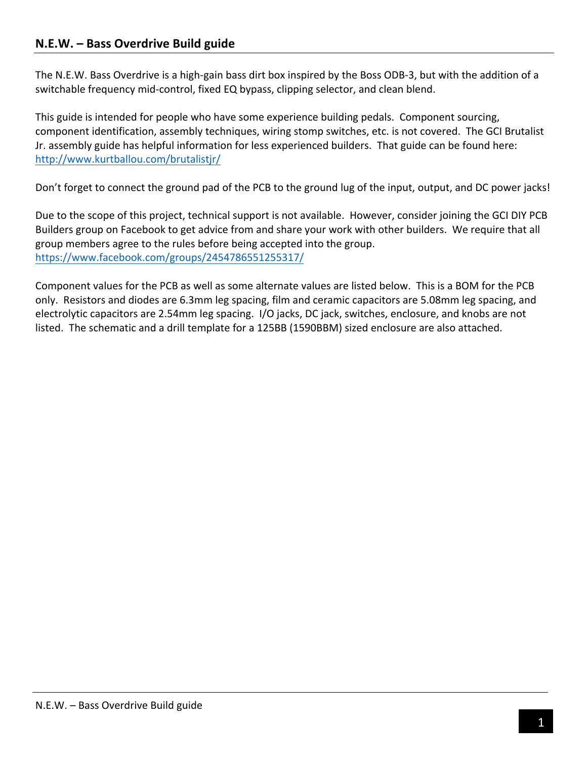## **N.E.W. – Bass Overdrive Build guide**

The N.E.W. Bass Overdrive is a high-gain bass dirt box inspired by the Boss ODB-3, but with the addition of a switchable frequency mid-control, fixed EQ bypass, clipping selector, and clean blend.

This guide is intended for people who have some experience building pedals. Component sourcing, component identification, assembly techniques, wiring stomp switches, etc. is not covered. The GCI Brutalist Jr. assembly guide has helpful information for less experienced builders. That guide can be found here: http://www.kurtballou.com/brutalistjr/

Don't forget to connect the ground pad of the PCB to the ground lug of the input, output, and DC power jacks!

Due to the scope of this project, technical support is not available. However, consider joining the GCI DIY PCB Builders group on Facebook to get advice from and share your work with other builders. We require that all group members agree to the rules before being accepted into the group. https://www.facebook.com/groups/2454786551255317/

Component values for the PCB as well as some alternate values are listed below. This is a BOM for the PCB only. Resistors and diodes are 6.3mm leg spacing, film and ceramic capacitors are 5.08mm leg spacing, and electrolytic capacitors are 2.54mm leg spacing. I/O jacks, DC jack, switches, enclosure, and knobs are not listed. The schematic and a drill template for a 125BB (1590BBM) sized enclosure are also attached.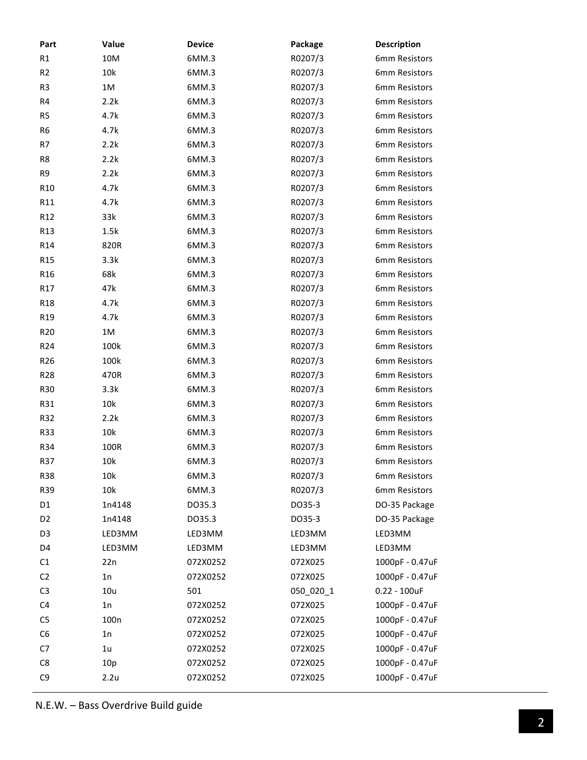| Part            | Value            | <b>Device</b> | Package   | <b>Description</b> |
|-----------------|------------------|---------------|-----------|--------------------|
| R1              | 10M              | 6MM.3         | R0207/3   | 6mm Resistors      |
| R <sub>2</sub>  | 10k              | 6MM.3         | R0207/3   | 6mm Resistors      |
| R <sub>3</sub>  | $1M$             | 6MM.3         | R0207/3   | 6mm Resistors      |
| R4              | 2.2k             | 6MM.3         | R0207/3   | 6mm Resistors      |
| R <sub>5</sub>  | 4.7k             | 6MM.3         | R0207/3   | 6mm Resistors      |
| R <sub>6</sub>  | 4.7k             | 6MM.3         | R0207/3   | 6mm Resistors      |
| R7              | 2.2k             | 6MM.3         | R0207/3   | 6mm Resistors      |
| R8              | 2.2k             | 6MM.3         | R0207/3   | 6mm Resistors      |
| R9              | 2.2k             | 6MM.3         | R0207/3   | 6mm Resistors      |
| R <sub>10</sub> | 4.7k             | 6MM.3         | R0207/3   | 6mm Resistors      |
| R11             | 4.7k             | 6MM.3         | R0207/3   | 6mm Resistors      |
| R <sub>12</sub> | 33k              | 6MM.3         | R0207/3   | 6mm Resistors      |
| R13             | 1.5k             | 6MM.3         | R0207/3   | 6mm Resistors      |
| R <sub>14</sub> | 820R             | 6MM.3         | R0207/3   | 6mm Resistors      |
| R <sub>15</sub> | 3.3k             | 6MM.3         | R0207/3   | 6mm Resistors      |
| R <sub>16</sub> | 68k              | 6MM.3         | R0207/3   | 6mm Resistors      |
| R17             | 47k              | 6MM.3         | R0207/3   | 6mm Resistors      |
| R <sub>18</sub> | 4.7k             | 6MM.3         | R0207/3   | 6mm Resistors      |
| R <sub>19</sub> | 4.7k             | 6MM.3         | R0207/3   | 6mm Resistors      |
| R <sub>20</sub> | 1M               | 6MM.3         | R0207/3   | 6mm Resistors      |
| R <sub>24</sub> | 100k             | 6MM.3         | R0207/3   | 6mm Resistors      |
| R <sub>26</sub> | 100k             | 6MM.3         | R0207/3   | 6mm Resistors      |
| R <sub>28</sub> | 470R             | 6MM.3         | R0207/3   | 6mm Resistors      |
| <b>R30</b>      | 3.3k             | 6MM.3         | R0207/3   | 6mm Resistors      |
| R31             | 10k              | 6MM.3         | R0207/3   | 6mm Resistors      |
| R32             | 2.2k             | 6MM.3         | R0207/3   | 6mm Resistors      |
| <b>R33</b>      | 10k              | 6MM.3         | R0207/3   | 6mm Resistors      |
| R34             | 100R             | 6MM.3         | R0207/3   | 6mm Resistors      |
| <b>R37</b>      | 10k              | 6MM.3         | R0207/3   | 6mm Resistors      |
| <b>R38</b>      | 10k              | 6MM.3         | R0207/3   | 6mm Resistors      |
| R39             | 10k              | 6MM.3         | R0207/3   | 6mm Resistors      |
| D <sub>1</sub>  | 1n4148           | DO35.3        | DO35-3    | DO-35 Package      |
| D <sub>2</sub>  | 1n4148           | DO35.3        | DO35-3    | DO-35 Package      |
| D <sub>3</sub>  | LED3MM           | LED3MM        | LED3MM    | LED3MM             |
| D4              | LED3MM           | LED3MM        | LED3MM    | LED3MM             |
| C1              | 22n              | 072X0252      | 072X025   | 1000pF - 0.47uF    |
| C <sub>2</sub>  | 1n               | 072X0252      | 072X025   | 1000pF - 0.47uF    |
| C <sub>3</sub>  | 10u              | 501           | 050 020 1 | $0.22 - 100$ uF    |
| C <sub>4</sub>  | 1n               | 072X0252      | 072X025   | 1000pF - 0.47uF    |
| C <sub>5</sub>  | 100 <sub>n</sub> | 072X0252      | 072X025   | 1000pF - 0.47uF    |
| C <sub>6</sub>  | 1n               | 072X0252      | 072X025   | 1000pF - 0.47uF    |
| C7              | 1 <sub>u</sub>   | 072X0252      | 072X025   | 1000pF - 0.47uF    |
| C8              | 10p              | 072X0252      | 072X025   | 1000pF - 0.47uF    |
| C <sub>9</sub>  | 2.2u             | 072X0252      | 072X025   | 1000pF - 0.47uF    |
|                 |                  |               |           |                    |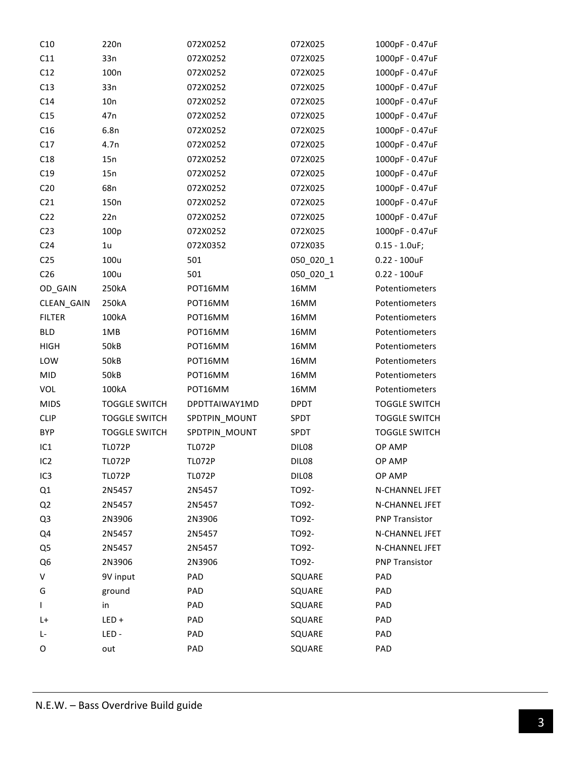| C11<br>C12      | 33n<br>100 <sub>n</sub> | 072X0252      | 072X025     | 1000pF - 0.47uF       |
|-----------------|-------------------------|---------------|-------------|-----------------------|
|                 |                         |               |             |                       |
|                 |                         | 072X0252      | 072X025     | 1000pF - 0.47uF       |
| C13             | 33n                     | 072X0252      | 072X025     | 1000pF - 0.47uF       |
| C14             | 10n                     | 072X0252      | 072X025     | 1000pF - 0.47uF       |
| C15             | 47 <sub>n</sub>         | 072X0252      | 072X025     | 1000pF - 0.47uF       |
| C16             | 6.8n                    | 072X0252      | 072X025     | 1000pF - 0.47uF       |
| C17             | 4.7n                    | 072X0252      | 072X025     | 1000pF - 0.47uF       |
| C18             | 15n                     | 072X0252      | 072X025     | 1000pF - 0.47uF       |
| C19             | 15n                     | 072X0252      | 072X025     | 1000pF - 0.47uF       |
| C <sub>20</sub> | 68n                     | 072X0252      | 072X025     | 1000pF - 0.47uF       |
| C <sub>21</sub> | 150 <sub>n</sub>        | 072X0252      | 072X025     | 1000pF - 0.47uF       |
| C <sub>22</sub> | 22n                     | 072X0252      | 072X025     | 1000pF - 0.47uF       |
| C <sub>23</sub> | 100p                    | 072X0252      | 072X025     | 1000pF - 0.47uF       |
| C <sub>24</sub> | 1 <sub>u</sub>          | 072X0352      | 072X035     | $0.15 - 1.0$ uF;      |
| C <sub>25</sub> | 100u                    | 501           | 050 020 1   | $0.22 - 100$ uF       |
| C <sub>26</sub> | 100u                    | 501           | 050_020_1   | $0.22 - 100$ uF       |
| OD_GAIN         | 250kA                   | POT16MM       | 16MM        | Potentiometers        |
| CLEAN_GAIN      | 250kA                   | POT16MM       | 16MM        | Potentiometers        |
| <b>FILTER</b>   | 100kA                   | POT16MM       | 16MM        | Potentiometers        |
| <b>BLD</b>      | 1MB                     | POT16MM       | 16MM        | Potentiometers        |
| <b>HIGH</b>     | <b>50kB</b>             | POT16MM       | 16MM        | Potentiometers        |
| LOW             | <b>50kB</b>             | POT16MM       | 16MM        | Potentiometers        |
| <b>MID</b>      | <b>50kB</b>             | POT16MM       | 16MM        | Potentiometers        |
| VOL             | 100kA                   | POT16MM       | 16MM        | Potentiometers        |
| <b>MIDS</b>     | <b>TOGGLE SWITCH</b>    | DPDTTAIWAY1MD | <b>DPDT</b> | <b>TOGGLE SWITCH</b>  |
| <b>CLIP</b>     | <b>TOGGLE SWITCH</b>    | SPDTPIN_MOUNT | SPDT        | <b>TOGGLE SWITCH</b>  |
| <b>BYP</b>      | <b>TOGGLE SWITCH</b>    | SPDTPIN_MOUNT | SPDT        | <b>TOGGLE SWITCH</b>  |
| IC <sub>1</sub> | <b>TL072P</b>           | <b>TL072P</b> | DIL08       | OP AMP                |
| IC <sub>2</sub> | <b>TL072P</b>           | <b>TL072P</b> | DIL08       | OP AMP                |
| IC <sub>3</sub> | <b>TL072P</b>           | <b>TL072P</b> | DIL08       | OP AMP                |
| Q1              | 2N5457                  | 2N5457        | TO92-       | N-CHANNEL JFET        |
| Q <sub>2</sub>  | 2N5457                  | 2N5457        | TO92-       | N-CHANNEL JFET        |
| Q <sub>3</sub>  | 2N3906                  | 2N3906        | TO92-       | <b>PNP Transistor</b> |
| Q4              | 2N5457                  | 2N5457        | TO92-       | N-CHANNEL JFET        |
| Q5              | 2N5457                  | 2N5457        | TO92-       | N-CHANNEL JFET        |
| Q <sub>6</sub>  | 2N3906                  | 2N3906        | TO92-       | <b>PNP Transistor</b> |
| V               | 9V input                | PAD           | SQUARE      | PAD                   |
| G               | ground                  | PAD           | SQUARE      | PAD                   |
| L               | in                      | PAD           | SQUARE      | PAD                   |
| L+              | $LED +$                 | PAD           | SQUARE      | PAD                   |
| Ŀ               | LED-                    | PAD           | SQUARE      | PAD                   |
| 0               | out                     | PAD           | SQUARE      | PAD                   |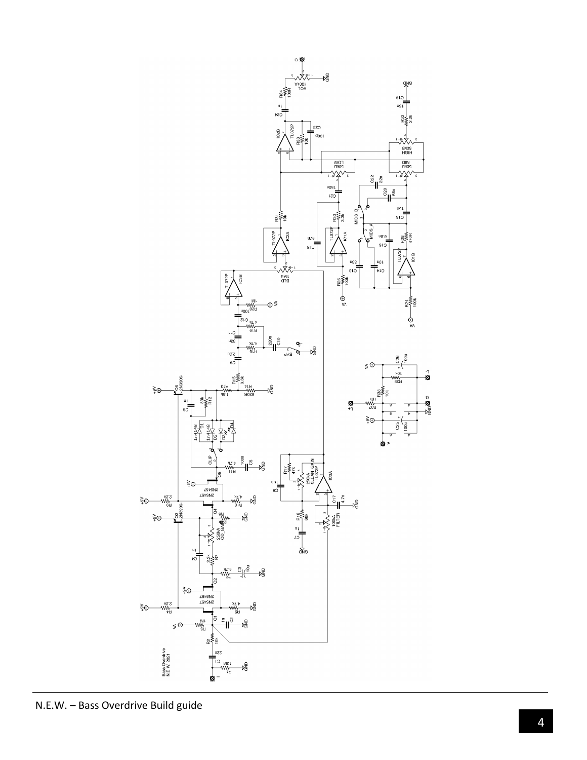